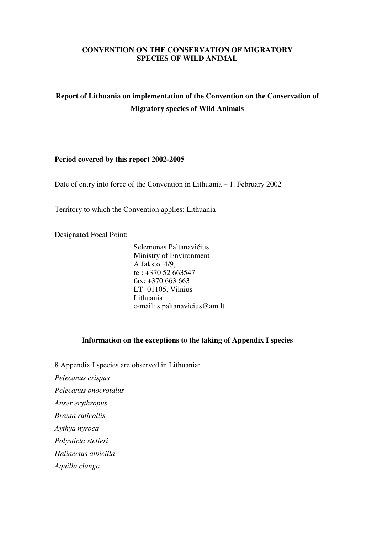# **CONVENTION ON THE CONSERVATION OF MIGRATORY SPECIES OF WILD ANIMAL**

# **Report of Lithuania on implementation of the Convention on the Conservation of Migratory species of Wild Animals**

#### **Period covered by this report 2002-2005**

Date of entry into force of the Convention in Lithuania – 1. February 2002

Territory to which the Convention applies: Lithuania

Designated Focal Point:

Selemonas Paltanavičius Ministry of Environment A.Jaksto 4/9, tel: +370 52 663547 fax:  $+370\,663\,663$ LT- 01105, Vilnius Lithuania e-mail: s.paltanavicius@am.lt

# **Information on the exceptions to the taking of Appendix I species**

8 Appendix I species are observed in Lithuania:

*Pelecanus crispus* 

*Pelecanus onocrotalus* 

*Anser erythropus* 

*Branta ruficollis* 

*Aythya nyroca* 

*Polysticta stelleri* 

*Haliaeetus albicilla* 

*Aquilla clanga*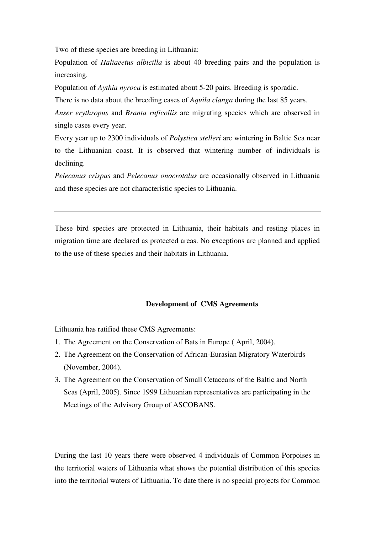Two of these species are breeding in Lithuania:

Population of *Haliaeetus albicilla* is about 40 breeding pairs and the population is increasing.

Population of *Aythia nyroca* is estimated about 5-20 pairs. Breeding is sporadic.

There is no data about the breeding cases of *Aquila clanga* during the last 85 years.

*Anser erythropus* and *Branta ruficollis* are migrating species which are observed in single cases every year.

Every year up to 2300 individuals of *Polystica stelleri* are wintering in Baltic Sea near to the Lithuanian coast. It is observed that wintering number of individuals is declining.

*Pelecanus crispus* and *Pelecanus onocrotalus* are occasionally observed in Lithuania and these species are not characteristic species to Lithuania.

These bird species are protected in Lithuania, their habitats and resting places in migration time are declared as protected areas. No exceptions are planned and applied to the use of these species and their habitats in Lithuania.

#### **Development of CMS Agreements**

Lithuania has ratified these CMS Agreements:

- 1. The Agreement on the Conservation of Bats in Europe ( April, 2004).
- 2. The Agreement on the Conservation of African-Eurasian Migratory Waterbirds (November, 2004).
- 3. The Agreement on the Conservation of Small Cetaceans of the Baltic and North Seas (April, 2005). Since 1999 Lithuanian representatives are participating in the Meetings of the Advisory Group of ASCOBANS.

During the last 10 years there were observed 4 individuals of Common Porpoises in the territorial waters of Lithuania what shows the potential distribution of this species into the territorial waters of Lithuania. To date there is no special projects for Common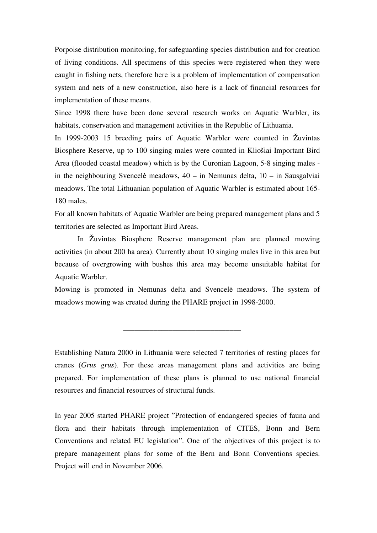Porpoise distribution monitoring, for safeguarding species distribution and for creation of living conditions. All specimens of this species were registered when they were caught in fishing nets, therefore here is a problem of implementation of compensation system and nets of a new construction, also here is a lack of financial resources for implementation of these means.

Since 1998 there have been done several research works on Aquatic Warbler, its habitats, conservation and management activities in the Republic of Lithuania.

In 1999-2003 15 breeding pairs of Aquatic Warbler were counted in Žuvintas Biosphere Reserve, up to 100 singing males were counted in Kliošiai Important Bird Area (flooded coastal meadow) which is by the Curonian Lagoon, 5-8 singing males in the neighbouring Svencelė meadows,  $40 - in$  Nemunas delta,  $10 - in$  Sausgalviai meadows. The total Lithuanian population of Aquatic Warbler is estimated about 165- 180 males.

For all known habitats of Aquatic Warbler are being prepared management plans and 5 territories are selected as Important Bird Areas.

In Žuvintas Biosphere Reserve management plan are planned mowing activities (in about 200 ha area). Currently about 10 singing males live in this area but because of overgrowing with bushes this area may become unsuitable habitat for Aquatic Warbler.

Mowing is promoted in Nemunas delta and Svencelė meadows. The system of meadows mowing was created during the PHARE project in 1998-2000.

 $\frac{1}{\sqrt{2}}$  ,  $\frac{1}{\sqrt{2}}$  ,  $\frac{1}{\sqrt{2}}$  ,  $\frac{1}{\sqrt{2}}$  ,  $\frac{1}{\sqrt{2}}$  ,  $\frac{1}{\sqrt{2}}$  ,  $\frac{1}{\sqrt{2}}$  ,  $\frac{1}{\sqrt{2}}$  ,  $\frac{1}{\sqrt{2}}$  ,  $\frac{1}{\sqrt{2}}$  ,  $\frac{1}{\sqrt{2}}$  ,  $\frac{1}{\sqrt{2}}$  ,  $\frac{1}{\sqrt{2}}$  ,  $\frac{1}{\sqrt{2}}$  ,  $\frac{1}{\sqrt{2}}$ 

Establishing Natura 2000 in Lithuania were selected 7 territories of resting places for cranes (*Grus grus*). For these areas management plans and activities are being prepared. For implementation of these plans is planned to use national financial resources and financial resources of structural funds.

In year 2005 started PHARE project "Protection of endangered species of fauna and flora and their habitats through implementation of CITES, Bonn and Bern Conventions and related EU legislation". One of the objectives of this project is to prepare management plans for some of the Bern and Bonn Conventions species. Project will end in November 2006.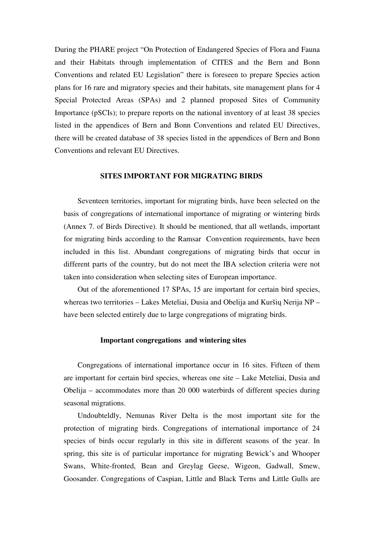During the PHARE project "On Protection of Endangered Species of Flora and Fauna and their Habitats through implementation of CITES and the Bern and Bonn Conventions and related EU Legislation" there is foreseen to prepare Species action plans for 16 rare and migratory species and their habitats, site management plans for 4 Special Protected Areas (SPAs) and 2 planned proposed Sites of Community Importance (pSCIs); to prepare reports on the national inventory of at least 38 species listed in the appendices of Bern and Bonn Conventions and related EU Directives, there will be created database of 38 species listed in the appendices of Bern and Bonn Conventions and relevant EU Directives.

#### **SITES IMPORTANT FOR MIGRATING BIRDS**

 Seventeen territories, important for migrating birds, have been selected on the basis of congregations of international importance of migrating or wintering birds (Annex 7. of Birds Directive). It should be mentioned, that all wetlands, important for migrating birds according to the Ramsar Convention requirements, have been included in this list. Abundant congregations of migrating birds that occur in different parts of the country, but do not meet the IBA selection criteria were not taken into consideration when selecting sites of European importance.

 Out of the aforementioned 17 SPAs, 15 are important for certain bird species, whereas two territories – Lakes Meteliai, Dusia and Obelija and Kuršių Nerija NP – have been selected entirely due to large congregations of migrating birds.

#### **Important congregations and wintering sites**

 Congregations of international importance occur in 16 sites. Fifteen of them are important for certain bird species, whereas one site – Lake Meteliai, Dusia and Obelija – accommodates more than 20 000 waterbirds of different species during seasonal migrations.

 Undoubteldly, Nemunas River Delta is the most important site for the protection of migrating birds. Congregations of international importance of 24 species of birds occur regularly in this site in different seasons of the year. In spring, this site is of particular importance for migrating Bewick's and Whooper Swans, White-fronted, Bean and Greylag Geese, Wigeon, Gadwall, Smew, Goosander. Congregations of Caspian, Little and Black Terns and Little Gulls are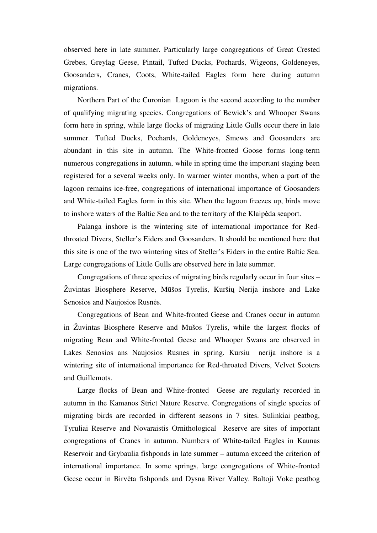observed here in late summer. Particularly large congregations of Great Crested Grebes, Greylag Geese, Pintail, Tufted Ducks, Pochards, Wigeons, Goldeneyes, Goosanders, Cranes, Coots, White-tailed Eagles form here during autumn migrations.

 Northern Part of the Curonian Lagoon is the second according to the number of qualifying migrating species. Congregations of Bewick's and Whooper Swans form here in spring, while large flocks of migrating Little Gulls occur there in late summer. Tufted Ducks, Pochards, Goldeneyes, Smews and Goosanders are abundant in this site in autumn. The White-fronted Goose forms long-term numerous congregations in autumn, while in spring time the important staging been registered for a several weeks only. In warmer winter months, when a part of the lagoon remains ice-free, congregations of international importance of Goosanders and White-tailed Eagles form in this site. When the lagoon freezes up, birds move to inshore waters of the Baltic Sea and to the territory of the Klaipėda seaport.

 Palanga inshore is the wintering site of international importance for Redthroated Divers, Steller's Eiders and Goosanders. It should be mentioned here that this site is one of the two wintering sites of Steller's Eiders in the entire Baltic Sea. Large congregations of Little Gulls are observed here in late summer.

 Congregations of three species of migrating birds regularly occur in four sites – Žuvintas Biosphere Reserve, Mūšos Tyrelis, Kuršių Nerija inshore and Lake Senosios and Naujosios Rusnės.

Congregations of Bean and White-fronted Geese and Cranes occur in autumn in Žuvintas Biosphere Reserve and Mušos Tyrelis, while the largest flocks of migrating Bean and White-fronted Geese and Whooper Swans are observed in Lakes Senosios ans Naujosios Rusnes in spring. Kursiu nerija inshore is a wintering site of international importance for Red-throated Divers, Velvet Scoters and Guillemots.

Large flocks of Bean and White-fronted Geese are regularly recorded in autumn in the Kamanos Strict Nature Reserve. Congregations of single species of migrating birds are recorded in different seasons in 7 sites. Sulinkiai peatbog, Tyruliai Reserve and Novaraistis Ornithological Reserve are sites of important congregations of Cranes in autumn. Numbers of White-tailed Eagles in Kaunas Reservoir and Grybaulia fishponds in late summer – autumn exceed the criterion of international importance. In some springs, large congregations of White-fronted Geese occur in Birvėta fishponds and Dysna River Valley. Baltoji Voke peatbog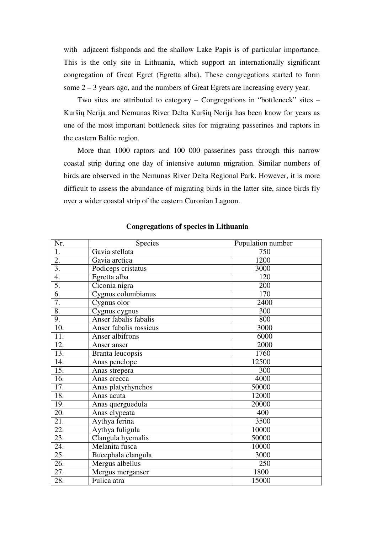with adjacent fishponds and the shallow Lake Papis is of particular importance. This is the only site in Lithuania, which support an internationally significant congregation of Great Egret (Egretta alba). These congregations started to form some 2 – 3 years ago, and the numbers of Great Egrets are increasing every year.

Two sites are attributed to category – Congregations in "bottleneck" sites – Kuršių Nerija and Nemunas River Delta Kuršių Nerija has been know for years as one of the most important bottleneck sites for migrating passerines and raptors in the eastern Baltic region.

More than 1000 raptors and 100 000 passerines pass through this narrow coastal strip during one day of intensive autumn migration. Similar numbers of birds are observed in the Nemunas River Delta Regional Park. However, it is more difficult to assess the abundance of migrating birds in the latter site, since birds fly over a wider coastal strip of the eastern Curonian Lagoon.

| Nr.               | Species                | Population number |
|-------------------|------------------------|-------------------|
| $\overline{1}$ .  | Gavia stellata         | 750               |
| $\overline{2}$ .  | Gavia arctica          | 1200              |
| $\overline{3}$ .  | Podiceps cristatus     | 3000              |
| 4.                | Egretta alba           | 120               |
| 5.                | Ciconia nigra          | 200               |
| 6.                | Cygnus columbianus     | 170               |
| 7.                | Cygnus olor            | 2400              |
| 8.                | Cygnus cygnus          | 300               |
| 9.                | Anser fabalis fabalis  | 800               |
| $\overline{10}$ . | Anser fabalis rossicus | 3000              |
| 11.               | Anser albifrons        | 6000              |
| 12.               | Anser anser            | 2000              |
| 13.               | Branta leucopsis       | 1760              |
| 14.               | Anas penelope          | 12500             |
| $\overline{15}$ . | Anas strepera          | 300               |
| 16.               | Anas crecca            | 4000              |
| 17.               | Anas platyrhynchos     | 50000             |
| 18.               | Anas acuta             | 12000             |
| 19.               | Anas querguedula       | 20000             |
| 20.               | Anas clypeata          | 400               |
| 21.               | Aythya ferina          | 3500              |
| $\overline{22}$ . | Aythya fuligula        | 10000             |
| 23.               | Clangula hyemalis      | 50000             |
| 24.               | Melanita fusca         | 10000             |
| 25.               | Bucephala clangula     | 3000              |
| 26.               | Mergus albellus        | 250               |
| 27.               | Mergus merganser       | 1800              |
| 28.               | Fulica atra            | 15000             |

### **Congregations of species in Lithuania**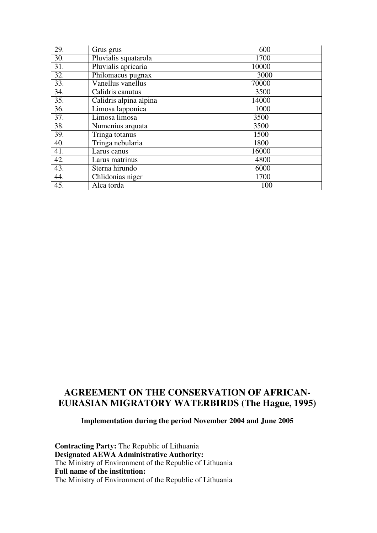| 29. | Grus grus              | 600   |
|-----|------------------------|-------|
| 30. | Pluvialis squatarola   | 1700  |
| 31. | Pluvialis apricaria    | 10000 |
| 32. | Philomacus pugnax      | 3000  |
| 33. | Vanellus vanellus      | 70000 |
| 34. | Calidris canutus       | 3500  |
| 35. | Calidris alpina alpina | 14000 |
| 36. | Limosa lapponica       | 1000  |
| 37. | Limosa limosa          | 3500  |
| 38. | Numenius arquata       | 3500  |
| 39. | Tringa totanus         | 1500  |
| 40. | Tringa nebularia       | 1800  |
| 41. | Larus canus            | 16000 |
| 42. | Larus matrinus         | 4800  |
| 43. | Sterna hirundo         | 6000  |
| 44. | Chlidonias niger       | 1700  |
| 45. | Alca torda             | 100   |

# **AGREEMENT ON THE CONSERVATION OF AFRICAN-EURASIAN MIGRATORY WATERBIRDS (The Hague, 1995)**

# **Implementation during the period November 2004 and June 2005**

**Contracting Party:** The Republic of Lithuania **Designated AEWA Administrative Authority:**  The Ministry of Environment of the Republic of Lithuania **Full name of the institution:**  The Ministry of Environment of the Republic of Lithuania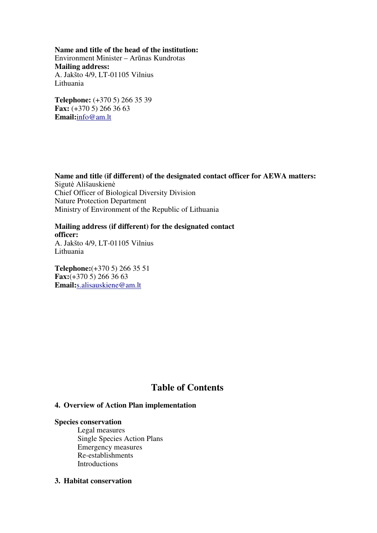**Name and title of the head of the institution:**  Environment Minister – Arūnas Kundrotas **Mailing address:**  A. Jakšto 4/9, LT-01105 Vilnius Lithuania

**Telephone:** (+370 5) 266 35 39 **Fax:** (+370 5) 266 36 63 **Email:**info@am.lt

**Name and title (if different) of the designated contact officer for AEWA matters:**  Sigutė Ališauskienė Chief Officer of Biological Diversity Division Nature Protection Department Ministry of Environment of the Republic of Lithuania

**Mailing address (if different) for the designated contact officer:**  A. Jakšto 4/9, LT-01105 Vilnius Lithuania

**Telephone:**(+370 5) 266 35 51 **Fax:**(+370 5) 266 36 63 **Email:**s.alisauskiene@am.lt

# **Table of Contents**

# **4. Overview of Action Plan implementation**

# **Species conservation**

 Legal measures Single Species Action Plans Emergency measures Re-establishments **Introductions** 

# **3. Habitat conservation**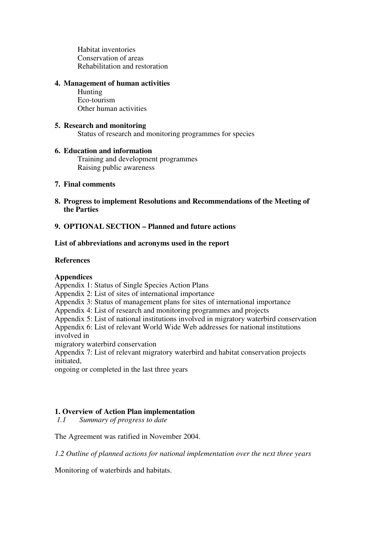Habitat inventories Conservation of areas Rehabilitation and restoration

# **4. Management of human activities**

 Hunting Eco-tourism Other human activities

# **5. Research and monitoring**

Status of research and monitoring programmes for species

# **6. Education and information**

 Training and development programmes Raising public awareness

### **7. Final comments**

**8. Progress to implement Resolutions and Recommendations of the Meeting of the Parties** 

# **9. OPTIONAL SECTION – Planned and future actions**

# **List of abbreviations and acronyms used in the report**

### **References**

# **Appendices**

Appendix 1: Status of Single Species Action Plans

Appendix 2: List of sites of international importance

Appendix 3: Status of management plans for sites of international importance

Appendix 4: List of research and monitoring programmes and projects

Appendix 5: List of national institutions involved in migratory waterbird conservation

Appendix 6: List of relevant World Wide Web addresses for national institutions involved in

migratory waterbird conservation

Appendix 7: List of relevant migratory waterbird and habitat conservation projects initiated,

ongoing or completed in the last three years

# **1. Overview of Action Plan implementation**

*1.1 Summary of progress to date* 

The Agreement was ratified in November 2004.

*1.2 Outline of planned actions for national implementation over the next three years* 

Monitoring of waterbirds and habitats.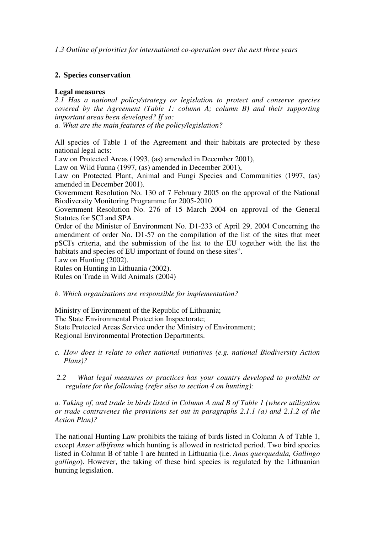*1.3 Outline of priorities for international co-operation over the next three years* 

### **2. Species conservation**

### **Legal measures**

*2.1 Has a national policy/strategy or legislation to protect and conserve species covered by the Agreement (Table 1: column A; column B) and their supporting important areas been developed? If so:* 

*a. What are the main features of the policy/legislation?* 

All species of Table 1 of the Agreement and their habitats are protected by these national legal acts:

Law on Protected Areas (1993, (as) amended in December 2001),

Law on Wild Fauna (1997, (as) amended in December 2001),

Law on Protected Plant, Animal and Fungi Species and Communities (1997, (as) amended in December 2001).

Government Resolution No. 130 of 7 February 2005 on the approval of the National Biodiversity Monitoring Programme for 2005-2010

Government Resolution No. 276 of 15 March 2004 on approval of the General Statutes for SCI and SPA.

Order of the Minister of Environment No. D1-233 of April 29, 2004 Concerning the amendment of order No. D1-57 on the compilation of the list of the sites that meet pSCI's criteria, and the submission of the list to the EU together with the list the habitats and species of EU important of found on these sites".

Law on Hunting (2002).

Rules on Hunting in Lithuania (2002). Rules on Trade in Wild Animals (2004)

#### *b. Which organisations are responsible for implementation?*

Ministry of Environment of the Republic of Lithuania; The State Environmental Protection Inspectorate; State Protected Areas Service under the Ministry of Environment; Regional Environmental Protection Departments.

- *c. How does it relate to other national initiatives (e.g. national Biodiversity Action Plans)?*
- *2.2 What legal measures or practices has your country developed to prohibit or regulate for the following (refer also to section 4 on hunting):*

*a. Taking of, and trade in birds listed in Column A and B of Table 1 (where utilization or trade contravenes the provisions set out in paragraphs 2.1.1 (a) and 2.1.2 of the Action Plan)?* 

The national Hunting Law prohibits the taking of birds listed in Column A of Table 1, except *Anser albifrons* which hunting is allowed in restricted period. Two bird species listed in Column B of table 1 are hunted in Lithuania (i.e. *Anas querquedula, Gallingo gallingo*). However, the taking of these bird species is regulated by the Lithuanian hunting legislation.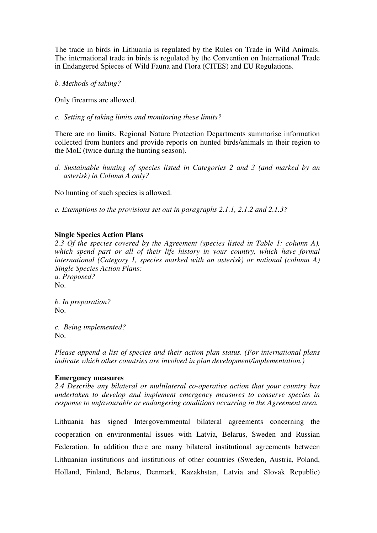The trade in birds in Lithuania is regulated by the Rules on Trade in Wild Animals. The international trade in birds is regulated by the Convention on International Trade in Endangered Spieces of Wild Fauna and Flora (CITES) and EU Regulations.

*b. Methods of taking?* 

Only firearms are allowed.

*c. Setting of taking limits and monitoring these limits?* 

There are no limits. Regional Nature Protection Departments summarise information collected from hunters and provide reports on hunted birds/animals in their region to the MoE (twice during the hunting season).

*d. Sustainable hunting of species listed in Categories 2 and 3 (and marked by an asterisk) in Column A only?* 

No hunting of such species is allowed.

*e. Exemptions to the provisions set out in paragraphs 2.1.1, 2.1.2 and 2.1.3?* 

### **Single Species Action Plans**

*2.3 Of the species covered by the Agreement (species listed in Table 1: column A), which spend part or all of their life history in your country, which have formal international (Category 1, species marked with an asterisk) or national (column A) Single Species Action Plans: a. Proposed?*  No.

*b. In preparation?*  No.

*c. Being implemented?*  No.

*Please append a list of species and their action plan status. (For international plans indicate which other countries are involved in plan development/implementation.)* 

#### **Emergency measures**

*2.4 Describe any bilateral or multilateral co-operative action that your country has undertaken to develop and implement emergency measures to conserve species in response to unfavourable or endangering conditions occurring in the Agreement area.* 

Lithuania has signed Intergovernmental bilateral agreements concerning the cooperation on environmental issues with Latvia, Belarus, Sweden and Russian Federation. In addition there are many bilateral institutional agreements between Lithuanian institutions and institutions of other countries (Sweden, Austria, Poland, Holland, Finland, Belarus, Denmark, Kazakhstan, Latvia and Slovak Republic)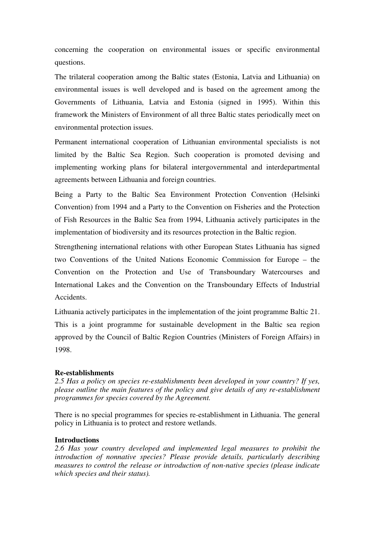concerning the cooperation on environmental issues or specific environmental questions.

The trilateral cooperation among the Baltic states (Estonia, Latvia and Lithuania) on environmental issues is well developed and is based on the agreement among the Governments of Lithuania, Latvia and Estonia (signed in 1995). Within this framework the Ministers of Environment of all three Baltic states periodically meet on environmental protection issues.

Permanent international cooperation of Lithuanian environmental specialists is not limited by the Baltic Sea Region. Such cooperation is promoted devising and implementing working plans for bilateral intergovernmental and interdepartmental agreements between Lithuania and foreign countries.

Being a Party to the Baltic Sea Environment Protection Convention (Helsinki Convention) from 1994 and a Party to the Convention on Fisheries and the Protection of Fish Resources in the Baltic Sea from 1994, Lithuania actively participates in the implementation of biodiversity and its resources protection in the Baltic region.

Strengthening international relations with other European States Lithuania has signed two Conventions of the United Nations Economic Commission for Europe – the Convention on the Protection and Use of Transboundary Watercourses and International Lakes and the Convention on the Transboundary Effects of Industrial Accidents.

Lithuania actively participates in the implementation of the joint programme Baltic 21. This is a joint programme for sustainable development in the Baltic sea region approved by the Council of Baltic Region Countries (Ministers of Foreign Affairs) in 1998.

# **Re-establishments**

*2.5 Has a policy on species re-establishments been developed in your country? If yes, please outline the main features of the policy and give details of any re-establishment programmes for species covered by the Agreement.* 

There is no special programmes for species re-establishment in Lithuania. The general policy in Lithuania is to protect and restore wetlands.

#### **Introductions**

*2.6 Has your country developed and implemented legal measures to prohibit the introduction of nonnative species? Please provide details, particularly describing measures to control the release or introduction of non-native species (please indicate which species and their status).*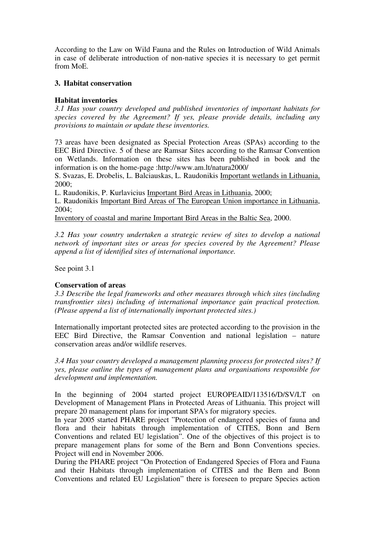According to the Law on Wild Fauna and the Rules on Introduction of Wild Animals in case of deliberate introduction of non-native species it is necessary to get permit from MoE.

# **3. Habitat conservation**

# **Habitat inventories**

*3.1 Has your country developed and published inventories of important habitats for species covered by the Agreement? If yes, please provide details, including any provisions to maintain or update these inventories.*

73 areas have been designated as Special Protection Areas (SPAs) according to the EEC Bird Directive. 5 of these are Ramsar Sites according to the Ramsar Convention on Wetlands. Information on these sites has been published in book and the information is on the home-page :http://www.am.lt/natura2000/

S. Svazas, E. Drobelis, L. Balciauskas, L. Raudonikis Important wetlands in Lithuania, 2000;

L. Raudonikis, P. Kurlavicius Important Bird Areas in Lithuania, 2000;

L. Raudonikis Important Bird Areas of The European Union importance in Lithuania, 2004;

Inventory of coastal and marine Important Bird Areas in the Baltic Sea, 2000.

*3.2 Has your country undertaken a strategic review of sites to develop a national network of important sites or areas for species covered by the Agreement? Please append a list of identified sites of international importance.* 

See point 3.1

# **Conservation of areas**

*3.3 Describe the legal frameworks and other measures through which sites (including transfrontier sites) including of international importance gain practical protection. (Please append a list of internationally important protected sites.)* 

Internationally important protected sites are protected according to the provision in the EEC Bird Directive, the Ramsar Convention and national legislation – nature conservation areas and/or wildlife reserves.

*3.4 Has your country developed a management planning process for protected sites? If yes, please outline the types of management plans and organisations responsible for development and implementation.* 

In the beginning of 2004 started project EUROPEAID/113516/D/SV/LT on Development of Management Plans in Protected Areas of Lithuania. This project will prepare 20 management plans for important SPA's for migratory species.

In year 2005 started PHARE project "Protection of endangered species of fauna and flora and their habitats through implementation of CITES, Bonn and Bern Conventions and related EU legislation". One of the objectives of this project is to prepare management plans for some of the Bern and Bonn Conventions species. Project will end in November 2006.

During the PHARE project "On Protection of Endangered Species of Flora and Fauna and their Habitats through implementation of CITES and the Bern and Bonn Conventions and related EU Legislation" there is foreseen to prepare Species action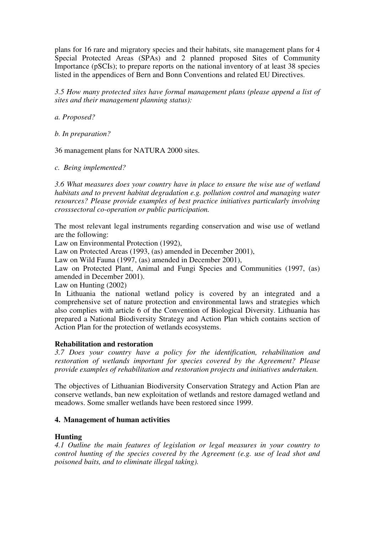plans for 16 rare and migratory species and their habitats, site management plans for 4 Special Protected Areas (SPAs) and 2 planned proposed Sites of Community Importance (pSCIs); to prepare reports on the national inventory of at least 38 species listed in the appendices of Bern and Bonn Conventions and related EU Directives.

*3.5 How many protected sites have formal management plans (please append a list of sites and their management planning status):* 

*a. Proposed?* 

*b. In preparation?* 

36 management plans for NATURA 2000 sites.

*c. Being implemented?* 

*3.6 What measures does your country have in place to ensure the wise use of wetland habitats and to prevent habitat degradation e.g. pollution control and managing water resources? Please provide examples of best practice initiatives particularly involving crosssectoral co-operation or public participation.*

The most relevant legal instruments regarding conservation and wise use of wetland are the following:

Law on Environmental Protection (1992),

Law on Protected Areas (1993, (as) amended in December 2001),

Law on Wild Fauna (1997, (as) amended in December 2001),

Law on Protected Plant, Animal and Fungi Species and Communities (1997, (as) amended in December 2001).

Law on Hunting (2002)

In Lithuania the national wetland policy is covered by an integrated and a comprehensive set of nature protection and environmental laws and strategies which also complies with article 6 of the Convention of Biological Diversity. Lithuania has prepared a National Biodiversity Strategy and Action Plan which contains section of Action Plan for the protection of wetlands ecosystems.

# **Rehabilitation and restoration**

*3.7 Does your country have a policy for the identification, rehabilitation and restoration of wetlands important for species covered by the Agreement? Please provide examples of rehabilitation and restoration projects and initiatives undertaken.* 

The objectives of Lithuanian Biodiversity Conservation Strategy and Action Plan are conserve wetlands, ban new exploitation of wetlands and restore damaged wetland and meadows. Some smaller wetlands have been restored since 1999.

# **4. Management of human activities**

# **Hunting**

*4.1 Outline the main features of legislation or legal measures in your country to control hunting of the species covered by the Agreement (e.g. use of lead shot and poisoned baits, and to eliminate illegal taking).*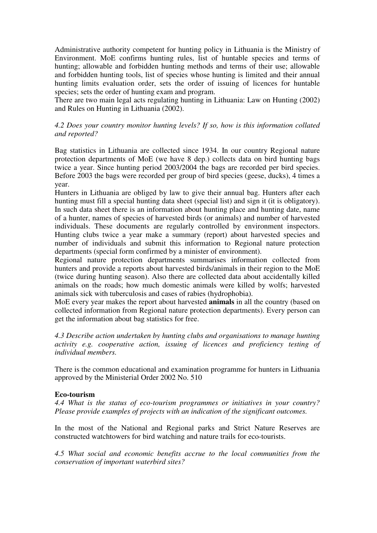Administrative authority competent for hunting policy in Lithuania is the Ministry of Environment. MoE confirms hunting rules, list of huntable species and terms of hunting; allowable and forbidden hunting methods and terms of their use; allowable and forbidden hunting tools, list of species whose hunting is limited and their annual hunting limits evaluation order, sets the order of issuing of licences for huntable species; sets the order of hunting exam and program.

There are two main legal acts regulating hunting in Lithuania: Law on Hunting (2002) and Rules on Hunting in Lithuania (2002).

# *4.2 Does your country monitor hunting levels? If so, how is this information collated and reported?*

Bag statistics in Lithuania are collected since 1934. In our country Regional nature protection departments of MoE (we have 8 dep.) collects data on bird hunting bags twice a year. Since hunting period 2003/2004 the bags are recorded per bird species. Before 2003 the bags were recorded per group of bird species (geese, ducks), 4 times a year.

Hunters in Lithuania are obliged by law to give their annual bag. Hunters after each hunting must fill a special hunting data sheet (special list) and sign it (it is obligatory). In such data sheet there is an information about hunting place and hunting date, name of a hunter, names of species of harvested birds (or animals) and number of harvested individuals. These documents are regularly controlled by environment inspectors. Hunting clubs twice a year make a summary (report) about harvested species and number of individuals and submit this information to Regional nature protection departments (special form confirmed by a minister of environment).

Regional nature protection departments summarises information collected from hunters and provide a reports about harvested birds/animals in their region to the MoE (twice during hunting season). Also there are collected data about accidentally killed animals on the roads; how much domestic animals were killed by wolfs; harvested animals sick with tuberculosis and cases of rabies (hydrophobia).

MoE every year makes the report about harvested **animals** in all the country (based on collected information from Regional nature protection departments). Every person can get the information about bag statistics for free.

*4.3 Describe action undertaken by hunting clubs and organisations to manage hunting activity e.g. cooperative action, issuing of licences and proficiency testing of individual members.* 

There is the common educational and examination programme for hunters in Lithuania approved by the Ministerial Order 2002 No. 510

#### **Eco-tourism**

*4.4 What is the status of eco-tourism programmes or initiatives in your country? Please provide examples of projects with an indication of the significant outcomes.* 

In the most of the National and Regional parks and Strict Nature Reserves are constructed watchtowers for bird watching and nature trails for eco-tourists.

*4.5 What social and economic benefits accrue to the local communities from the conservation of important waterbird sites?*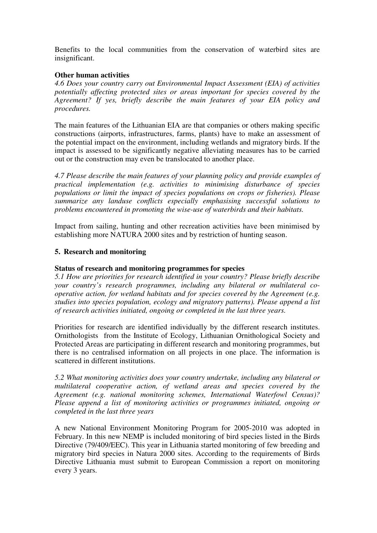Benefits to the local communities from the conservation of waterbird sites are insignificant.

# **Other human activities**

*4.6 Does your country carry out Environmental Impact Assessment (EIA) of activities potentially affecting protected sites or areas important for species covered by the Agreement? If yes, briefly describe the main features of your EIA policy and procedures.* 

The main features of the Lithuanian EIA are that companies or others making specific constructions (airports, infrastructures, farms, plants) have to make an assessment of the potential impact on the environment, including wetlands and migratory birds. If the impact is assessed to be significantly negative alleviating measures has to be carried out or the construction may even be translocated to another place.

*4.7 Please describe the main features of your planning policy and provide examples of practical implementation (e.g. activities to minimising disturbance of species populations or limit the impact of species populations on crops or fisheries). Please summarize any landuse conflicts especially emphasising successful solutions to problems encountered in promoting the wise-use of waterbirds and their habitats.* 

Impact from sailing, hunting and other recreation activities have been minimised by establishing more NATURA 2000 sites and by restriction of hunting season.

# **5. Research and monitoring**

# **Status of research and monitoring programmes for species**

*5.1 How are priorities for research identified in your country? Please briefly describe your country's research programmes, including any bilateral or multilateral cooperative action, for wetland habitats and for species covered by the Agreement (e.g. studies into species population, ecology and migratory patterns). Please append a list of research activities initiated, ongoing or completed in the last three years.* 

Priorities for research are identified individually by the different research institutes. Ornithologists from the Institute of Ecology, Lithuanian Ornithological Society and Protected Areas are participating in different research and monitoring programmes, but there is no centralised information on all projects in one place. The information is scattered in different institutions.

*5.2 What monitoring activities does your country undertake, including any bilateral or multilateral cooperative action, of wetland areas and species covered by the Agreement (e.g. national monitoring schemes, International Waterfowl Census)? Please append a list of monitoring activities or programmes initiated, ongoing or completed in the last three years* 

A new National Environment Monitoring Program for 2005-2010 was adopted in February. In this new NEMP is included monitoring of bird species listed in the Birds Directive (79/409/EEC). This year in Lithuania started monitoring of few breeding and migratory bird species in Natura 2000 sites. According to the requirements of Birds Directive Lithuania must submit to European Commission a report on monitoring every 3 years.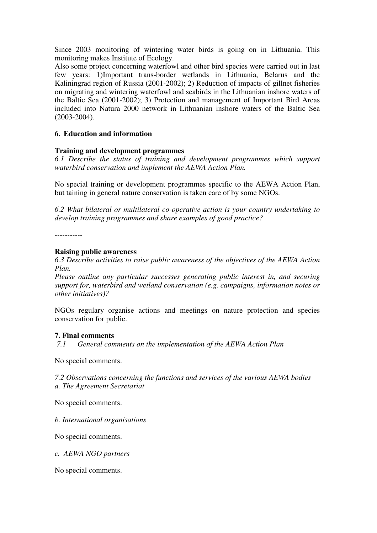Since 2003 monitoring of wintering water birds is going on in Lithuania. This monitoring makes Institute of Ecology.

Also some project concerning waterfowl and other bird species were carried out in last few years: 1)Important trans-border wetlands in Lithuania, Belarus and the Kaliningrad region of Russia (2001-2002); 2) Reduction of impacts of gillnet fisheries on migrating and wintering waterfowl and seabirds in the Lithuanian inshore waters of the Baltic Sea (2001-2002); 3) Protection and management of Important Bird Areas included into Natura 2000 network in Lithuanian inshore waters of the Baltic Sea (2003-2004).

# **6. Education and information**

### **Training and development programmes**

*6.1 Describe the status of training and development programmes which support waterbird conservation and implement the AEWA Action Plan.* 

No special training or development programmes specific to the AEWA Action Plan, but taining in general nature conservation is taken care of by some NGOs.

*6.2 What bilateral or multilateral co-operative action is your country undertaking to develop training programmes and share examples of good practice?* 

#### **Raising public awareness**

*6.3 Describe activities to raise public awareness of the objectives of the AEWA Action Plan.* 

*Please outline any particular successes generating public interest in, and securing support for, waterbird and wetland conservation (e.g. campaigns, information notes or other initiatives)?* 

NGOs regulary organise actions and meetings on nature protection and species conservation for public.

#### **7. Final comments**

*7.1 General comments on the implementation of the AEWA Action Plan* 

No special comments.

*7.2 Observations concerning the functions and services of the various AEWA bodies a. The Agreement Secretariat* 

No special comments.

*b. International organisations* 

No special comments.

*c. AEWA NGO partners* 

No special comments.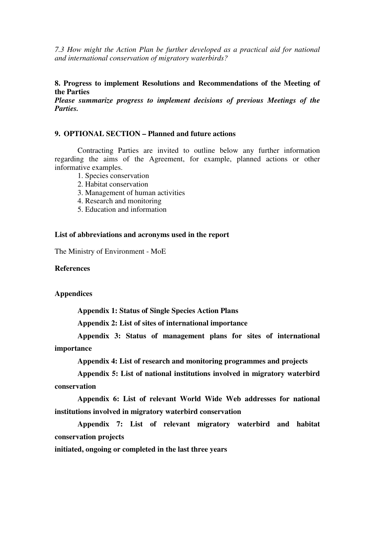*7.3 How might the Action Plan be further developed as a practical aid for national and international conservation of migratory waterbirds?* 

### **8. Progress to implement Resolutions and Recommendations of the Meeting of the Parties**

*Please summarize progress to implement decisions of previous Meetings of the Parties.* 

#### **9. OPTIONAL SECTION – Planned and future actions**

 Contracting Parties are invited to outline below any further information regarding the aims of the Agreement, for example, planned actions or other informative examples.

- 1. Species conservation
- 2. Habitat conservation
- 3. Management of human activities
- 4. Research and monitoring
- 5. Education and information

#### **List of abbreviations and acronyms used in the report**

The Ministry of Environment - MoE

#### **References**

#### **Appendices**

 **Appendix 1: Status of Single Species Action Plans** 

 **Appendix 2: List of sites of international importance** 

 **Appendix 3: Status of management plans for sites of international importance** 

 **Appendix 4: List of research and monitoring programmes and projects** 

 **Appendix 5: List of national institutions involved in migratory waterbird conservation** 

 **Appendix 6: List of relevant World Wide Web addresses for national institutions involved in migratory waterbird conservation** 

 **Appendix 7: List of relevant migratory waterbird and habitat conservation projects** 

**initiated, ongoing or completed in the last three years**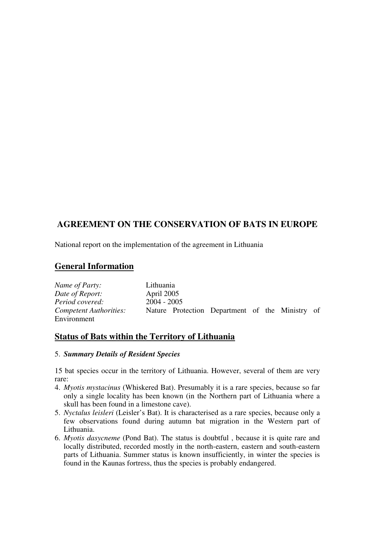# **AGREEMENT ON THE CONSERVATION OF BATS IN EUROPE**

National report on the implementation of the agreement in Lithuania

# **General Information**

| Name of Party:         | Lithuania     |                                                 |  |  |
|------------------------|---------------|-------------------------------------------------|--|--|
| Date of Report:        | April 2005    |                                                 |  |  |
| Period covered:        | $2004 - 2005$ |                                                 |  |  |
| Competent Authorities: |               | Nature Protection Department of the Ministry of |  |  |
| Environment            |               |                                                 |  |  |

# **Status of Bats within the Territory of Lithuania**

# 5. *Summary Details of Resident Species*

15 bat species occur in the territory of Lithuania. However, several of them are very rare:

- 4. *Myotis mystacinus* (Whiskered Bat). Presumably it is a rare species, because so far only a single locality has been known (in the Northern part of Lithuania where a skull has been found in a limestone cave).
- 5. *Nyctalus leisleri* (Leisler's Bat). It is characterised as a rare species, because only a few observations found during autumn bat migration in the Western part of Lithuania.
- 6. *Myotis dasycneme* (Pond Bat). The status is doubtful , because it is quite rare and locally distributed, recorded mostly in the north-eastern, eastern and south-eastern parts of Lithuania. Summer status is known insufficiently, in winter the species is found in the Kaunas fortress, thus the species is probably endangered.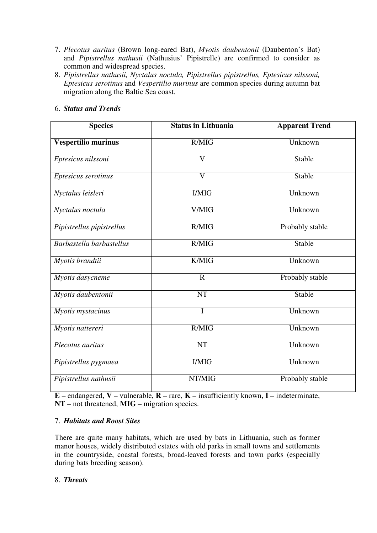- 7. *Plecotus auritus* (Brown long-eared Bat), *Myotis daubentonii* (Daubenton's Bat) and *Pipistrellus nathusii* (Nathusius' Pipistrelle) are confirmed to consider as common and widespread species.
- 8. *Pipistrellus nathusii, Nyctalus noctula, Pipistrellus pipistrellus, Eptesicus nilssoni, Eptesicus serotinus* and *Vespertilio murinus* are common species during autumn bat migration along the Baltic Sea coast.

# 6. *Status and Trends*

| <b>Species</b>            | <b>Status in Lithuania</b> | <b>Apparent Trend</b> |  |  |
|---------------------------|----------------------------|-----------------------|--|--|
| Vespertilio murinus       | R/MIG                      | Unknown               |  |  |
| Eptesicus nilssoni        | $\overline{\mathsf{V}}$    | Stable                |  |  |
| Eptesicus serotinus       | $\mathbf{V}$               | Stable                |  |  |
| Nyctalus leisleri         | <b>I/MIG</b>               | Unknown               |  |  |
| Nyctalus noctula          | V/MIG                      | Unknown               |  |  |
| Pipistrellus pipistrellus | R/MIG                      | Probably stable       |  |  |
| Barbastella barbastellus  | R/MIG                      | Stable                |  |  |
| Myotis brandtii           | K/MIG                      | Unknown               |  |  |
| Myotis dasycneme          | $\mathbf R$                | Probably stable       |  |  |
| Myotis daubentonii        | <b>NT</b>                  | Stable                |  |  |
| Myotis mystacinus         | I                          | Unknown               |  |  |
| Myotis nattereri          | R/MIG                      | Unknown               |  |  |
| Plecotus auritus          | <b>NT</b>                  | Unknown               |  |  |
| Pipistrellus pygmaea      | <b>I/MIG</b>               | Unknown               |  |  |
| Pipistrellus nathusii     | NT/MIG                     | Probably stable       |  |  |

**E** – endangered, **V** – vulnerable, **R** – rare, **K** – insufficiently known, **I** – indeterminate, **NT** – not threatened, **MIG** – migration species.

# 7. *Habitats and Roost Sites*

There are quite many habitats, which are used by bats in Lithuania, such as former manor houses, widely distributed estates with old parks in small towns and settlements in the countryside, coastal forests, broad-leaved forests and town parks (especially during bats breeding season).

# 8. *Threats*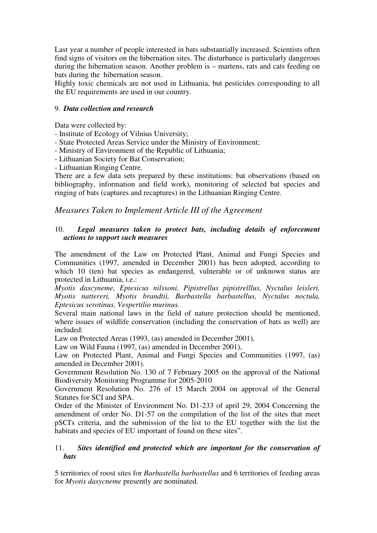Last year a number of people interested in bats substantially increased. Scientists often find signs of visitors on the hibernation sites. The disturbance is particularly dangerous during the hibernation season. Another problem is – martens, rats and cats feeding on bats during the hibernation season.

Highly toxic chemicals are not used in Lithuania, but pesticides corresponding to all the EU requirements are used in our country.

# 9. *Data collection and research*

Data were collected by:

- Institute of Ecology of Vilnius University;
- State Protected Areas Service under the Ministry of Environment;
- Ministry of Environment of the Republic of Lithuania;
- Lithuanian Society for Bat Conservation;

- Lithuanian Ringing Centre.

There are a few data sets prepared by these institutions: bat observations (based on bibliography, information and field work), monitoring of selected bat species and ringing of bats (captures and recaptures) in the Lithuanian Ringing Centre.

# *Measures Taken to Implement Article III of the Agreement*

# 10. *Legal measures taken to protect bats, including details of enforcement actions to support such measures*

The amendment of the Law on Protected Plant, Animal and Fungi Species and Communities (1997, amended in December 2001) has been adopted, according to which 10 (ten) bat species as endangered, vulnerable or of unknown status are protected in Lithuania, i.e.:

*Myotis dascyneme, Eptesicus nilssoni, Pipistrellus pipistrelllus, Nyctalus leisleri, Myotis nattereri, Myotis brandtii, Barbastella barbastellus, Nyctalus noctula, Eptesicus serotinus, Vespertilio murinus.*

Several main national laws in the field of nature protection should be mentioned, where issues of wildlife conservation (including the conservation of bats as well) are included:

Law on Protected Areas (1993, (as) amended in December 2001),

Law on Wild Fauna (1997, (as) amended in December 2001),

Law on Protected Plant, Animal and Fungi Species and Communities (1997, (as) amended in December 2001).

Government Resolution No. 130 of 7 February 2005 on the approval of the National Biodiversity Monitoring Programme for 2005-2010

Government Resolution No. 276 of 15 March 2004 on approval of the General Statutes for SCI and SPA.

Order of the Minister of Environment No. D1-233 of april 29, 2004 Concerning the amendment of order No. D1-57 on the compilation of the list of the sites that meet pSCI's criteria, and the submission of the list to the EU together with the list the habitats and species of EU important of found on these sites".

# 11. *Sites identified and protected which are important for the conservation of bats*

5 territories of roost sites for *Barbastella barbastellus* and 6 territories of feeding areas for *Myotis dasycneme* presently are nominated.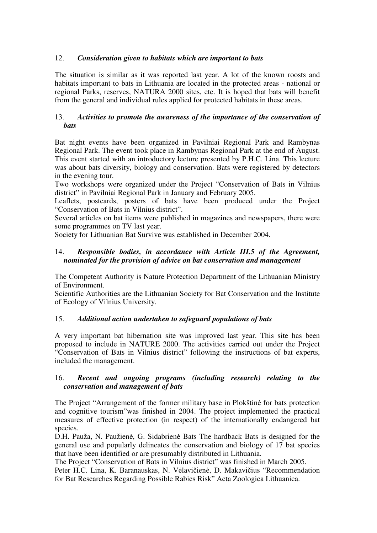# 12. *Consideration given to habitats which are important to bats*

The situation is similar as it was reported last year*.* A lot of the known roosts and habitats important to bats in Lithuania are located in the protected areas - national or regional Parks, reserves, NATURA 2000 sites, etc. It is hoped that bats will benefit from the general and individual rules applied for protected habitats in these areas.

# 13. *Activities to promote the awareness of the importance of the conservation of bats*

Bat night events have been organized in Pavilniai Regional Park and Rambynas Regional Park. The event took place in Rambynas Regional Park at the end of August. This event started with an introductory lecture presented by P.H.C. Lina. This lecture was about bats diversity, biology and conservation. Bats were registered by detectors in the evening tour.

Two workshops were organized under the Project "Conservation of Bats in Vilnius district" in Pavilniai Regional Park in January and February 2005.

Leaflets, postcards, posters of bats have been produced under the Project "Conservation of Bats in Vilnius district".

Several articles on bat items were published in magazines and newspapers, there were some programmes on TV last year.

Society for Lithuanian Bat Survive was established in December 2004.

# 14. *Responsible bodies, in accordance with Article III.5 of the Agreement, nominated for the provision of advice on bat conservation and management*

The Competent Authority is Nature Protection Department of the Lithuanian Ministry of Environment.

Scientific Authorities are the Lithuanian Society for Bat Conservation and the Institute of Ecology of Vilnius University.

# 15. *Additional action undertaken to safeguard populations of bats*

A very important bat hibernation site was improved last year. This site has been proposed to include in NATURE 2000. The activities carried out under the Project "Conservation of Bats in Vilnius district" following the instructions of bat experts, included the management.

# 16. *Recent and ongoing programs (including research) relating to the conservation and management of bats*

The Project "Arrangement of the former military base in Plokštinė for bats protection and cognitive tourism"was finished in 2004. The project implemented the practical measures of effective protection (in respect) of the internationally endangered bat species.

D.H. Pauža, N. Paužienė, G. Sidabrienė Bats The hardback Bats is designed for the general use and popularly delineates the conservation and biology of 17 bat species that have been identified or are presumably distributed in Lithuania.

The Project "Conservation of Bats in Vilnius district" was finished in March 2005.

Peter H.C. Lina, K. Baranauskas, N. Vėlavičienė, D. Makavičius "Recommendation for Bat Researches Regarding Possible Rabies Risk" Acta Zoologica Lithuanica.